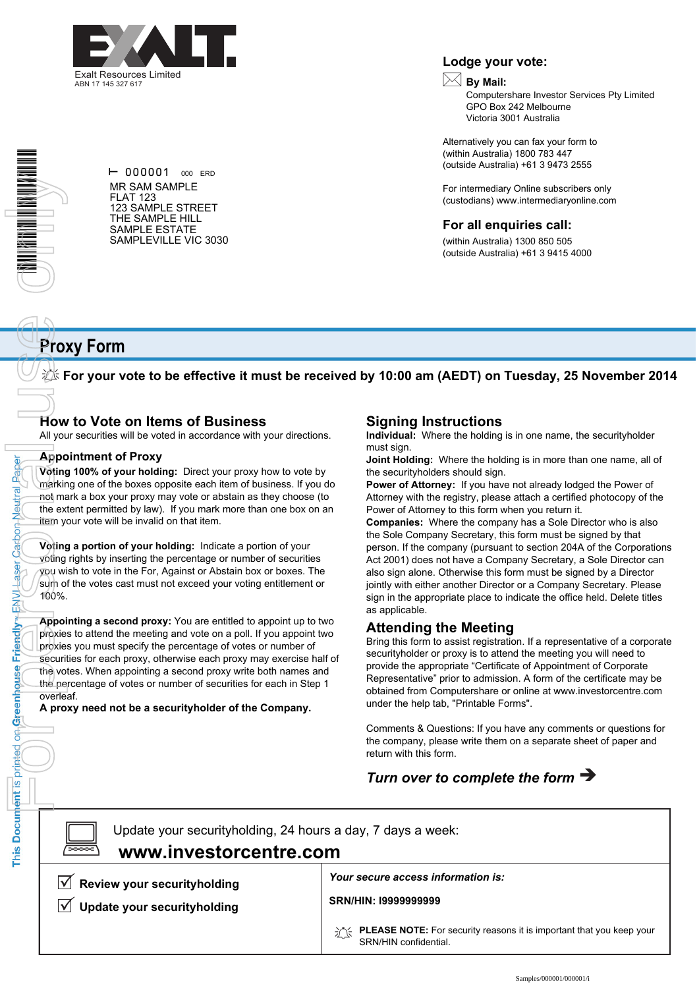



Paper

**Carbon Neutral** 

Laser

ENVI-

Friendly

on Greenhouse

This Document is printed

 $\vdash$  000001 000 ERD MR SAM SAMPLE FLAT 123 123 SAMPLE STREET THE SAMPLE HILL SAMPLE ESTATE SAMPLEVILLE VIC 3030

#### **Lodge your vote:**

## **By Mail:**

Computershare Investor Services Pty Limited GPO Box 242 Melbourne Victoria 3001 Australia

Alternatively you can fax your form to (within Australia) 1800 783 447 (outside Australia) +61 3 9473 2555

For intermediary Online subscribers only (custodians) www.intermediaryonline.com

#### **For all enquiries call:**

(within Australia) 1300 850 505 (outside Australia) +61 3 9415 4000

## **Proxy Form**

**For your vote to be effective it must be received by 10:00 am (AEDT) on Tuesday, 25 November 2014**

## **How to Vote on Items of Business**

All your securities will be voted in accordance with your directions.

#### **Appointment of Proxy**

**Voting 100% of your holding:** Direct your proxy how to vote by marking one of the boxes opposite each item of business. If you do not mark a box your proxy may vote or abstain as they choose (to the extent permitted by law). If you mark more than one box on an item your vote will be invalid on that item.

**Voting a portion of your holding:** Indicate a portion of your voting rights by inserting the percentage or number of securities you wish to vote in the For, Against or Abstain box or boxes. The sum of the votes cast must not exceed your voting entitlement or 100%.

**Appointing a second proxy:** You are entitled to appoint up to two proxies to attend the meeting and vote on a poll. If you appoint two proxies you must specify the percentage of votes or number of securities for each proxy, otherwise each proxy may exercise half of the votes. When appointing a second proxy write both names and the percentage of votes or number of securities for each in Step 1 overleaf.

**A proxy need not be a securityholder of the Company.**

### **Signing Instructions**

**Individual:** Where the holding is in one name, the securityholder must sign.

**Joint Holding:** Where the holding is in more than one name, all of the securityholders should sign.

**Power of Attorney:** If you have not already lodged the Power of Attorney with the registry, please attach a certified photocopy of the Power of Attorney to this form when you return it.

**Companies:** Where the company has a Sole Director who is also the Sole Company Secretary, this form must be signed by that person. If the company (pursuant to section 204A of the Corporations Act 2001) does not have a Company Secretary, a Sole Director can also sign alone. Otherwise this form must be signed by a Director jointly with either another Director or a Company Secretary. Please sign in the appropriate place to indicate the office held. Delete titles as applicable.

### **Attending the Meeting**

Bring this form to assist registration. If a representative of a corporate securityholder or proxy is to attend the meeting you will need to provide the appropriate "Certificate of Appointment of Corporate Representative" prior to admission. A form of the certificate may be obtained from Computershare or online at www.investorcentre.com under the help tab, "Printable Forms".

Comments & Questions: If you have any comments or questions for the company, please write them on a separate sheet of paper and return with this form.

## *Turn over to complete the form*

 $\boxed{\square}$ 

Update your securityholding, 24 hours a day, 7 days a week:  **www.investorcentre.com**

 $\sqrt{\phantom{a}}$  Review your securityholding

**Update your securityholding**

*Your secure access information is:*

**SRN/HIN: I9999999999**

**PLEASE NOTE:** For security reasons it is important that you keep your SRN/HIN confidential.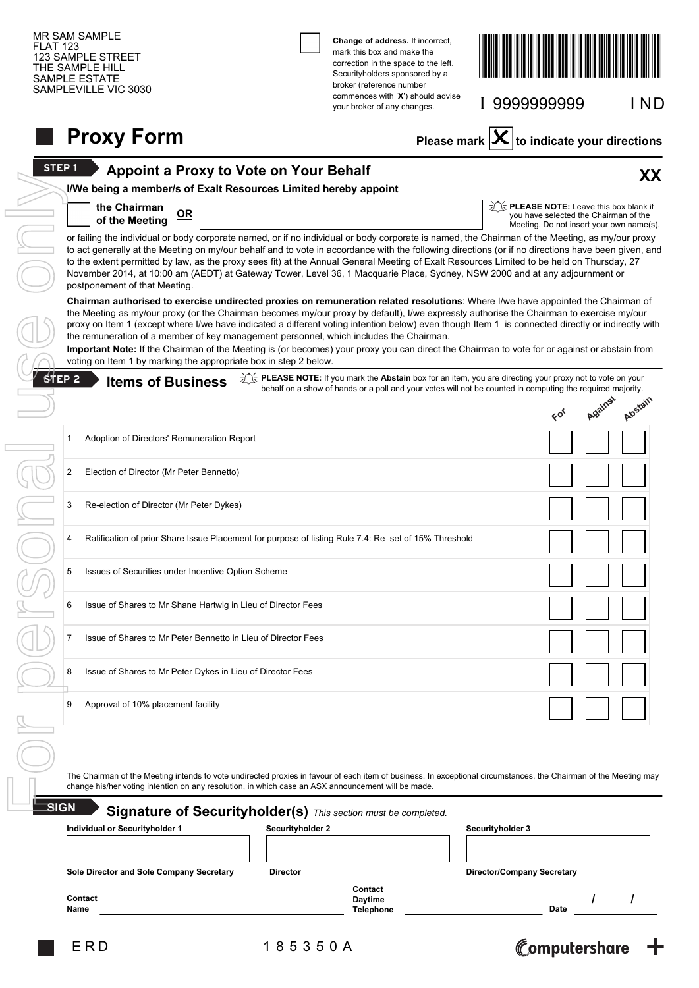| <b>FLAT 123</b>                          | <b>MR SAM SAMPLE</b><br><b>123 SAMPLE STREET</b><br>THE SAMPLE HILL<br>SAMPLE ESTATE<br>SAMPLEVILLE VIC 3030                                                                                                                                                                                                                                                                                                                                                                                                                                                                                                                                                                                                                                    |                                               | Change of address. If incorrect,<br>mark this box and make the<br>correction in the space to the left.<br>Securityholders sponsored by a<br>broker (reference number |                                                        |                                                                                                                              |          |  |  |  |  |  |
|------------------------------------------|-------------------------------------------------------------------------------------------------------------------------------------------------------------------------------------------------------------------------------------------------------------------------------------------------------------------------------------------------------------------------------------------------------------------------------------------------------------------------------------------------------------------------------------------------------------------------------------------------------------------------------------------------------------------------------------------------------------------------------------------------|-----------------------------------------------|----------------------------------------------------------------------------------------------------------------------------------------------------------------------|--------------------------------------------------------|------------------------------------------------------------------------------------------------------------------------------|----------|--|--|--|--|--|
|                                          |                                                                                                                                                                                                                                                                                                                                                                                                                                                                                                                                                                                                                                                                                                                                                 |                                               | commences with 'X') should advise<br>your broker of any changes.                                                                                                     |                                                        | I 9999999999                                                                                                                 | I ND     |  |  |  |  |  |
|                                          | <b>Proxy Form</b>                                                                                                                                                                                                                                                                                                                                                                                                                                                                                                                                                                                                                                                                                                                               |                                               |                                                                                                                                                                      | Please mark $ \mathbf{X} $ to indicate your directions |                                                                                                                              |          |  |  |  |  |  |
| <b>STEP1</b>                             |                                                                                                                                                                                                                                                                                                                                                                                                                                                                                                                                                                                                                                                                                                                                                 | <b>Appoint a Proxy to Vote on Your Behalf</b> |                                                                                                                                                                      |                                                        |                                                                                                                              | XX       |  |  |  |  |  |
|                                          | I/We being a member/s of Exalt Resources Limited hereby appoint                                                                                                                                                                                                                                                                                                                                                                                                                                                                                                                                                                                                                                                                                 |                                               |                                                                                                                                                                      |                                                        |                                                                                                                              |          |  |  |  |  |  |
|                                          | the Chairman<br>$OR$<br>of the Meeting                                                                                                                                                                                                                                                                                                                                                                                                                                                                                                                                                                                                                                                                                                          |                                               |                                                                                                                                                                      |                                                        | in FLEASE NOTE: Leave this box blank if<br>you have selected the Chairman of the<br>Meeting. Do not insert your own name(s). |          |  |  |  |  |  |
|                                          | or failing the individual or body corporate named, or if no individual or body corporate is named, the Chairman of the Meeting, as my/our proxy<br>to act generally at the Meeting on my/our behalf and to vote in accordance with the following directions (or if no directions have been given, and<br>to the extent permitted by law, as the proxy sees fit) at the Annual General Meeting of Exalt Resources Limited to be held on Thursday, 27<br>November 2014, at 10:00 am (AEDT) at Gateway Tower, Level 36, 1 Macquarie Place, Sydney, NSW 2000 and at any adjournment or<br>postponement of that Meeting.                                                                                                                             |                                               |                                                                                                                                                                      |                                                        |                                                                                                                              |          |  |  |  |  |  |
| $$$ fep 2                                | Chairman authorised to exercise undirected proxies on remuneration related resolutions: Where I/we have appointed the Chairman of<br>the Meeting as my/our proxy (or the Chairman becomes my/our proxy by default), I/we expressly authorise the Chairman to exercise my/our<br>proxy on Item 1 (except where I/we have indicated a different voting intention below) even though Item 1 is connected directly or indirectly with<br>the remuneration of a member of key management personnel, which includes the Chairman.<br>Important Note: If the Chairman of the Meeting is (or becomes) your proxy you can direct the Chairman to vote for or against or abstain from<br>voting on Item 1 by marking the appropriate box in step 2 below. |                                               | in its PLEASE NOTE: If you mark the Abstain box for an item, you are directing your proxy not to vote on your                                                        |                                                        |                                                                                                                              |          |  |  |  |  |  |
|                                          | <b>Items of Business</b>                                                                                                                                                                                                                                                                                                                                                                                                                                                                                                                                                                                                                                                                                                                        |                                               | behalf on a show of hands or a poll and your votes will not be counted in computing the required majority.                                                           |                                                        | 60 <sub>q</sub>                                                                                                              | Algérain |  |  |  |  |  |
|                                          | Adoption of Directors' Remuneration Report<br>1                                                                                                                                                                                                                                                                                                                                                                                                                                                                                                                                                                                                                                                                                                 |                                               |                                                                                                                                                                      |                                                        |                                                                                                                              |          |  |  |  |  |  |
|                                          | Election of Director (Mr Peter Bennetto)<br>2                                                                                                                                                                                                                                                                                                                                                                                                                                                                                                                                                                                                                                                                                                   |                                               |                                                                                                                                                                      |                                                        |                                                                                                                              |          |  |  |  |  |  |
|                                          | Re-election of Director (Mr Peter Dykes)<br>3                                                                                                                                                                                                                                                                                                                                                                                                                                                                                                                                                                                                                                                                                                   |                                               |                                                                                                                                                                      |                                                        |                                                                                                                              |          |  |  |  |  |  |
|                                          | Ratification of prior Share Issue Placement for purpose of listing Rule 7.4: Re-set of 15% Threshold<br>4                                                                                                                                                                                                                                                                                                                                                                                                                                                                                                                                                                                                                                       |                                               |                                                                                                                                                                      |                                                        |                                                                                                                              |          |  |  |  |  |  |
|                                          | Issues of Securities under Incentive Option Scheme<br>5                                                                                                                                                                                                                                                                                                                                                                                                                                                                                                                                                                                                                                                                                         |                                               |                                                                                                                                                                      |                                                        |                                                                                                                              |          |  |  |  |  |  |
|                                          | Issue of Shares to Mr Shane Hartwig in Lieu of Director Fees<br>6                                                                                                                                                                                                                                                                                                                                                                                                                                                                                                                                                                                                                                                                               |                                               |                                                                                                                                                                      |                                                        |                                                                                                                              |          |  |  |  |  |  |
|                                          | 7<br>Issue of Shares to Mr Peter Bennetto in Lieu of Director Fees                                                                                                                                                                                                                                                                                                                                                                                                                                                                                                                                                                                                                                                                              |                                               |                                                                                                                                                                      |                                                        |                                                                                                                              |          |  |  |  |  |  |
|                                          | Issue of Shares to Mr Peter Dykes in Lieu of Director Fees<br>8                                                                                                                                                                                                                                                                                                                                                                                                                                                                                                                                                                                                                                                                                 |                                               |                                                                                                                                                                      |                                                        |                                                                                                                              |          |  |  |  |  |  |
|                                          | Approval of 10% placement facility<br>9                                                                                                                                                                                                                                                                                                                                                                                                                                                                                                                                                                                                                                                                                                         |                                               |                                                                                                                                                                      |                                                        |                                                                                                                              |          |  |  |  |  |  |
|                                          |                                                                                                                                                                                                                                                                                                                                                                                                                                                                                                                                                                                                                                                                                                                                                 |                                               |                                                                                                                                                                      |                                                        |                                                                                                                              |          |  |  |  |  |  |
|                                          | The Chairman of the Meeting intends to vote undirected proxies in favour of each item of business. In exceptional circumstances, the Chairman of the Meeting may<br>change his/her voting intention on any resolution, in which case an ASX announcement will be made.                                                                                                                                                                                                                                                                                                                                                                                                                                                                          |                                               |                                                                                                                                                                      |                                                        |                                                                                                                              |          |  |  |  |  |  |
|                                          | SIGN                                                                                                                                                                                                                                                                                                                                                                                                                                                                                                                                                                                                                                                                                                                                            |                                               | Signature of Securityholder(s) This section must be completed.                                                                                                       |                                                        |                                                                                                                              |          |  |  |  |  |  |
|                                          | Individual or Securityholder 1                                                                                                                                                                                                                                                                                                                                                                                                                                                                                                                                                                                                                                                                                                                  | <b>Securityholder 2</b>                       |                                                                                                                                                                      | Securityholder 3                                       |                                                                                                                              |          |  |  |  |  |  |
| Sole Director and Sole Company Secretary |                                                                                                                                                                                                                                                                                                                                                                                                                                                                                                                                                                                                                                                                                                                                                 | <b>Director</b>                               |                                                                                                                                                                      |                                                        | Director/Company Secretary                                                                                                   |          |  |  |  |  |  |
|                                          | Contact<br>Name                                                                                                                                                                                                                                                                                                                                                                                                                                                                                                                                                                                                                                                                                                                                 |                                               | Contact<br><b>Daytime</b><br><b>Telephone</b>                                                                                                                        |                                                        | Date                                                                                                                         | I        |  |  |  |  |  |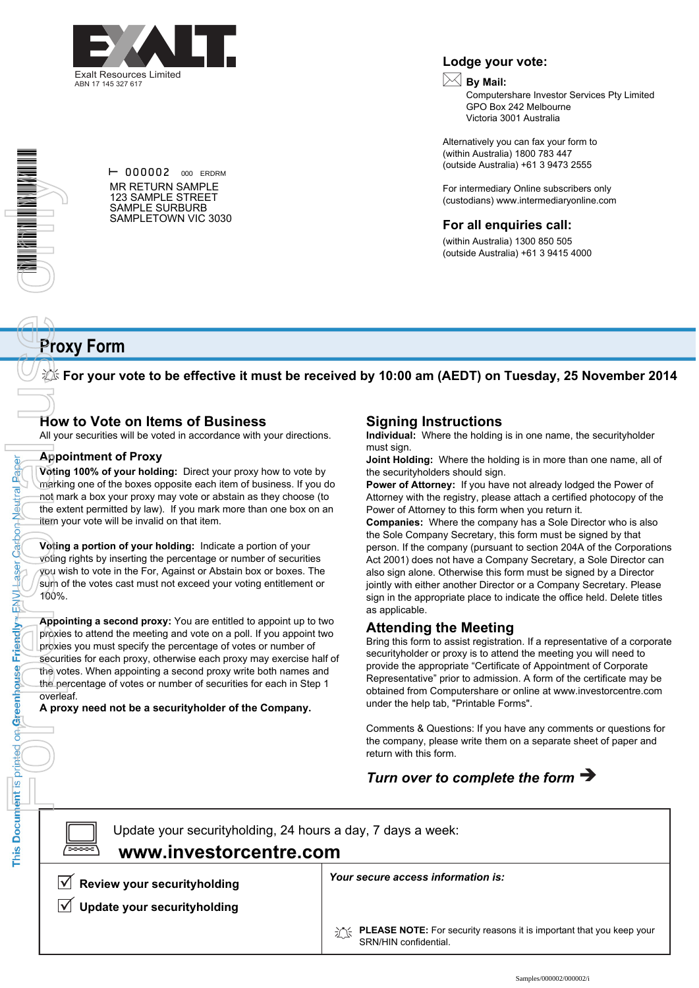

**Lodge your vote:**

## **By Mail:**

Computershare Investor Services Pty Limited GPO Box 242 Melbourne Victoria 3001 Australia

Alternatively you can fax your form to (within Australia) 1800 783 447 (outside Australia) +61 3 9473 2555

For intermediary Online subscribers only (custodians) www.intermediaryonline.com

#### **For all enquiries call:**

(within Australia) 1300 850 505 (outside Australia) +61 3 9415 4000

#### $\vdash$  000002 000 ERDRM MR RETURN SAMPLE 123 SAMPLE STREET SAMPLE SURBURB SAMPLETOWN VIC 3030

# **Proxy Form**

**For your vote to be effective it must be received by 10:00 am (AEDT) on Tuesday, 25 November 2014**

## **How to Vote on Items of Business**

All your securities will be voted in accordance with your directions.

#### **Appointment of Proxy**

Paper

**Carbon Neutral** 

Laser

ENVIL

Friendly

on Greenhouse

This Document is printed

**Voting 100% of your holding:** Direct your proxy how to vote by marking one of the boxes opposite each item of business. If you do not mark a box your proxy may vote or abstain as they choose (to the extent permitted by law). If you mark more than one box on an item your vote will be invalid on that item.

**Voting a portion of your holding:** Indicate a portion of your voting rights by inserting the percentage or number of securities you wish to vote in the For, Against or Abstain box or boxes. The sum of the votes cast must not exceed your voting entitlement or 100%.

**Appointing a second proxy:** You are entitled to appoint up to two proxies to attend the meeting and vote on a poll. If you appoint two proxies you must specify the percentage of votes or number of securities for each proxy, otherwise each proxy may exercise half of the votes. When appointing a second proxy write both names and the percentage of votes or number of securities for each in Step 1 overleaf. The prior of the control by the Catoon Apple of the Record of the Record of the Record of the Record of the Record of the Record of the Record of the Record of the Record of the Record of the Record of the Record of the Re

**A proxy need not be a securityholder of the Company.**

## **Signing Instructions**

**Individual:** Where the holding is in one name, the securityholder must sign.

**Joint Holding:** Where the holding is in more than one name, all of the securityholders should sign.

**Power of Attorney:** If you have not already lodged the Power of Attorney with the registry, please attach a certified photocopy of the Power of Attorney to this form when you return it.

**Companies:** Where the company has a Sole Director who is also the Sole Company Secretary, this form must be signed by that person. If the company (pursuant to section 204A of the Corporations Act 2001) does not have a Company Secretary, a Sole Director can also sign alone. Otherwise this form must be signed by a Director jointly with either another Director or a Company Secretary. Please sign in the appropriate place to indicate the office held. Delete titles as applicable.

## **Attending the Meeting**

Bring this form to assist registration. If a representative of a corporate securityholder or proxy is to attend the meeting you will need to provide the appropriate "Certificate of Appointment of Corporate Representative" prior to admission. A form of the certificate may be obtained from Computershare or online at www.investorcentre.com under the help tab, "Printable Forms".

Comments & Questions: If you have any comments or questions for the company, please write them on a separate sheet of paper and return with this form.

## *Turn over to complete the form*

 $\boxed{\square}$ 

Update your securityholding, 24 hours a day, 7 days a week:  **www.investorcentre.com**

 $\sqrt{\phantom{a}}$  Review your securityholding

**Update your securityholding**

*Your secure access information is:*

**PLEASE NOTE:** For security reasons it is important that you keep your SRN/HIN confidential.